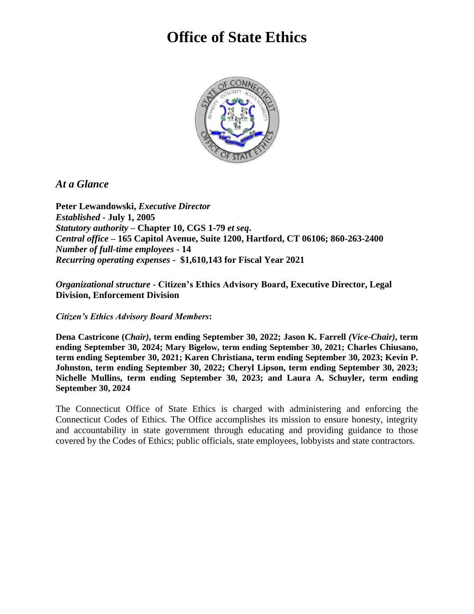# **Office of State Ethics**



#### *At a Glance*

**Peter Lewandowski,** *Executive Director Established* **- July 1, 2005** *Statutory authority* **– Chapter 10, CGS 1-79** *et seq***.** *Central office* **– 165 Capitol Avenue, Suite 1200, Hartford, CT 06106; 860-263-2400** *Number of full-time employees* **- 14** *Recurring operating expenses* **- \$1,610,143 for Fiscal Year 2021**

*Organizational structure* **- Citizen's Ethics Advisory Board, Executive Director, Legal Division, Enforcement Division**

*Citizen's Ethics Advisory Board Members***:** 

**Dena Castricone (***Chair)***, term ending September 30, 2022; Jason K. Farrell** *(Vice-Chair)***, term ending September 30, 2024; Mary Bigelow, term ending September 30, 2021; Charles Chiusano, term ending September 30, 2021; Karen Christiana, term ending September 30, 2023; Kevin P. Johnston, term ending September 30, 2022; Cheryl Lipson, term ending September 30, 2023; Nichelle Mullins, term ending September 30, 2023; and Laura A. Schuyler, term ending September 30, 2024**

The Connecticut Office of State Ethics is charged with administering and enforcing the Connecticut Codes of Ethics. The Office accomplishes its mission to ensure honesty, integrity and accountability in state government through educating and providing guidance to those covered by the Codes of Ethics; public officials, state employees, lobbyists and state contractors.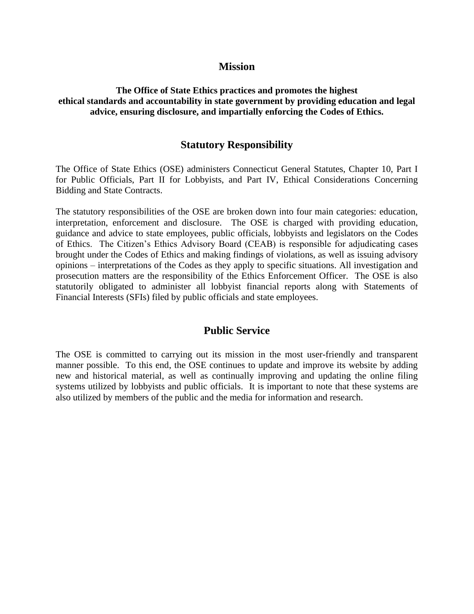#### **Mission**

#### **The Office of State Ethics practices and promotes the highest ethical standards and accountability in state government by providing education and legal advice, ensuring disclosure, and impartially enforcing the Codes of Ethics.**

#### **Statutory Responsibility**

The Office of State Ethics (OSE) administers Connecticut General Statutes, Chapter 10, Part I for Public Officials, Part II for Lobbyists, and Part IV, Ethical Considerations Concerning Bidding and State Contracts.

The statutory responsibilities of the OSE are broken down into four main categories: education, interpretation, enforcement and disclosure. The OSE is charged with providing education, guidance and advice to state employees, public officials, lobbyists and legislators on the Codes of Ethics. The Citizen's Ethics Advisory Board (CEAB) is responsible for adjudicating cases brought under the Codes of Ethics and making findings of violations, as well as issuing advisory opinions – interpretations of the Codes as they apply to specific situations. All investigation and prosecution matters are the responsibility of the Ethics Enforcement Officer. The OSE is also statutorily obligated to administer all lobbyist financial reports along with Statements of Financial Interests (SFIs) filed by public officials and state employees.

#### **Public Service**

The OSE is committed to carrying out its mission in the most user-friendly and transparent manner possible. To this end, the OSE continues to update and improve its website by adding new and historical material, as well as continually improving and updating the online filing systems utilized by lobbyists and public officials. It is important to note that these systems are also utilized by members of the public and the media for information and research.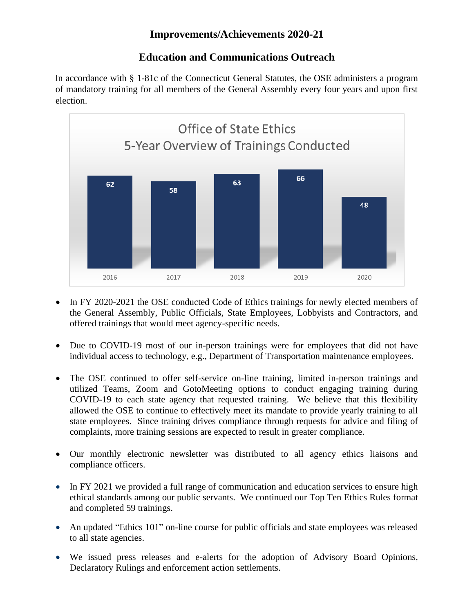# **Improvements/Achievements 2020-21**

# **Education and Communications Outreach**

In accordance with § 1-81c of the Connecticut General Statutes, the OSE administers a program of mandatory training for all members of the General Assembly every four years and upon first election.



- In FY 2020-2021 the OSE conducted Code of Ethics trainings for newly elected members of the General Assembly, Public Officials, State Employees, Lobbyists and Contractors, and offered trainings that would meet agency-specific needs.
- Due to COVID-19 most of our in-person trainings were for employees that did not have individual access to technology, e.g., Department of Transportation maintenance employees.
- The OSE continued to offer self-service on-line training, limited in-person trainings and utilized Teams, Zoom and GotoMeeting options to conduct engaging training during COVID-19 to each state agency that requested training. We believe that this flexibility allowed the OSE to continue to effectively meet its mandate to provide yearly training to all state employees. Since training drives compliance through requests for advice and filing of complaints, more training sessions are expected to result in greater compliance.
- Our monthly electronic newsletter was distributed to all agency ethics liaisons and compliance officers.
- In FY 2021 we provided a full range of communication and education services to ensure high ethical standards among our public servants. We continued our Top Ten Ethics Rules format and completed 59 trainings.
- An updated "Ethics 101" on-line course for public officials and state employees was released to all state agencies.
- We issued press releases and e-alerts for the adoption of Advisory Board Opinions, Declaratory Rulings and enforcement action settlements.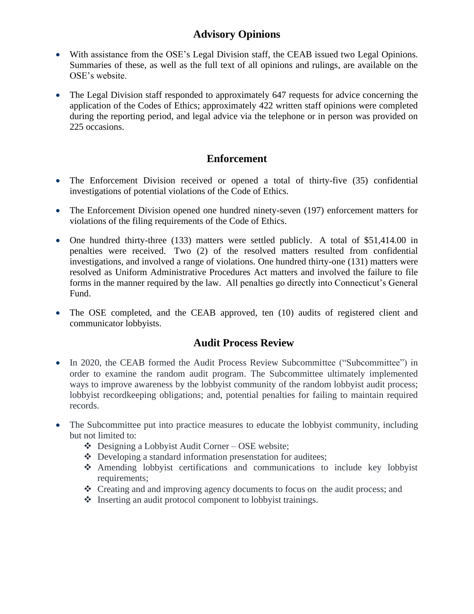# **Advisory Opinions**

- With assistance from the OSE's Legal Division staff, the CEAB issued two Legal Opinions. Summaries of these, as well as the full text of all opinions and rulings, are available on the OSE's website.
- The Legal Division staff responded to approximately 647 requests for advice concerning the application of the Codes of Ethics; approximately 422 written staff opinions were completed during the reporting period, and legal advice via the telephone or in person was provided on 225 occasions.

## **Enforcement**

- The Enforcement Division received or opened a total of thirty-five (35) confidential investigations of potential violations of the Code of Ethics.
- The Enforcement Division opened one hundred ninety-seven (197) enforcement matters for violations of the filing requirements of the Code of Ethics.
- One hundred thirty-three (133) matters were settled publicly. A total of \$51,414.00 in penalties were received. Two (2) of the resolved matters resulted from confidential investigations, and involved a range of violations. One hundred thirty-one (131) matters were resolved as Uniform Administrative Procedures Act matters and involved the failure to file forms in the manner required by the law. All penalties go directly into Connecticut's General Fund.
- The OSE completed, and the CEAB approved, ten (10) audits of registered client and communicator lobbyists.

## **Audit Process Review**

- In 2020, the CEAB formed the Audit Process Review Subcommittee ("Subcommittee") in order to examine the random audit program. The Subcommittee ultimately implemented ways to improve awareness by the lobbyist community of the random lobbyist audit process; lobbyist recordkeeping obligations; and, potential penalties for failing to maintain required records.
- The Subcommittee put into practice measures to educate the lobbyist community, including but not limited to:
	- $\triangleleft$  Designing a Lobbyist Audit Corner OSE website;
	- ❖ Developing a standard information presenstation for auditees;
	- ❖ Amending lobbyist certifications and communications to include key lobbyist requirements:
	- ❖ Creating and and improving agency documents to focus on the audit process; and
	- ❖ Inserting an audit protocol component to lobbyist trainings.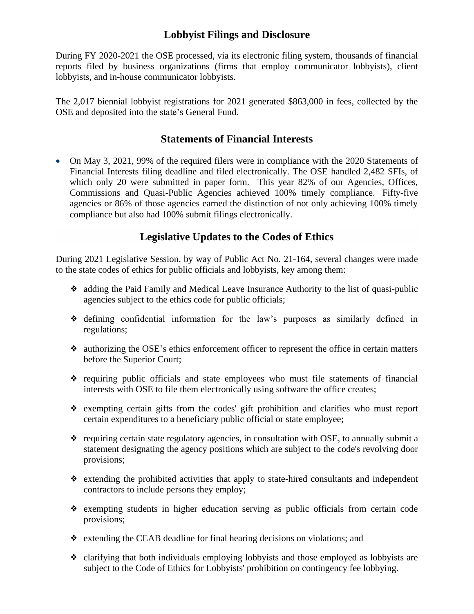## **Lobbyist Filings and Disclosure**

During FY 2020-2021 the OSE processed, via its electronic filing system, thousands of financial reports filed by business organizations (firms that employ communicator lobbyists), client lobbyists, and in-house communicator lobbyists.

The 2,017 biennial lobbyist registrations for 2021 generated \$863,000 in fees, collected by the OSE and deposited into the state's General Fund.

#### **Statements of Financial Interests**

• On May 3, 2021, 99% of the required filers were in compliance with the 2020 Statements of Financial Interests filing deadline and filed electronically. The OSE handled 2,482 SFIs, of which only 20 were submitted in paper form. This year 82% of our Agencies, Offices, Commissions and Quasi-Public Agencies achieved 100% timely compliance. Fifty-five agencies or 86% of those agencies earned the distinction of not only achieving 100% timely compliance but also had 100% submit filings electronically.

# **Legislative Updates to the Codes of Ethics**

During 2021 Legislative Session, by way of Public Act No. 21-164, several changes were made to the state codes of ethics for public officials and lobbyists, key among them:

- ❖ adding the Paid Family and Medical Leave Insurance Authority to the list of quasi-public agencies subject to the ethics code for public officials;
- ❖ defining confidential information for the law's purposes as similarly defined in regulations;
- ❖ authorizing the OSE's ethics enforcement officer to represent the office in certain matters before the Superior Court;
- ❖ requiring public officials and state employees who must file statements of financial interests with OSE to file them electronically using software the office creates;
- ❖ exempting certain gifts from the codes' gift prohibition and clarifies who must report certain expenditures to a beneficiary public official or state employee;
- ❖ requiring certain state regulatory agencies, in consultation with OSE, to annually submit a statement designating the agency positions which are subject to the code's revolving door provisions;
- ❖ extending the prohibited activities that apply to state-hired consultants and independent contractors to include persons they employ;
- ❖ exempting students in higher education serving as public officials from certain code provisions;
- ❖ extending the CEAB deadline for final hearing decisions on violations; and
- ❖ clarifying that both individuals employing lobbyists and those employed as lobbyists are subject to the Code of Ethics for Lobbyists' prohibition on contingency fee lobbying.